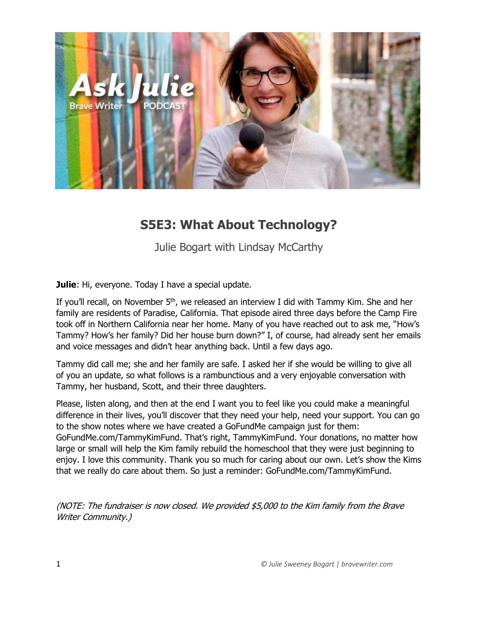

## **S5E3: What About Technology?**

Julie Bogart with Lindsay McCarthy

**Julie**: Hi, everyone. Today I have a special update.

If you'll recall, on November 5<sup>th</sup>, we released an interview I did with Tammy Kim. She and her family are residents of Paradise, California. That episode aired three days before the Camp Fire took off in Northern California near her home. Many of you have reached out to ask me, "How's Tammy? How's her family? Did her house burn down?" I, of course, had already sent her emails and voice messages and didn't hear anything back. Until a few days ago.

Tammy did call me; she and her family are safe. I asked her if she would be willing to give all of you an update, so what follows is a rambunctious and a very enjoyable conversation with Tammy, her husband, Scott, and their three daughters.

Please, listen along, and then at the end I want you to feel like you could make a meaningful difference in their lives, you'll discover that they need your help, need your support. You can go to the show notes where we have created a GoFundMe campaign just for them: GoFundMe.com/TammyKimFund. That's right, TammyKimFund. Your donations, no matter how large or small will help the Kim family rebuild the homeschool that they were just beginning to enjoy. I love this community. Thank you so much for caring about our own. Let's show the Kims that we really do care about them. So just a reminder: GoFundMe.com/TammyKimFund.

(NOTE: The fundraiser is now closed. We provided \$5,000 to the Kim family from the Brave Writer Community.)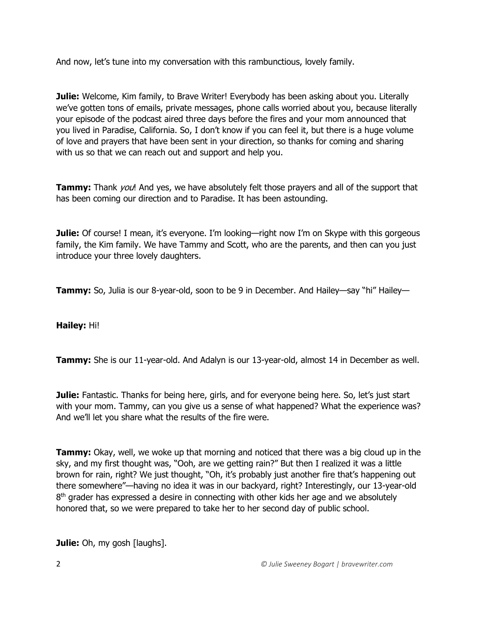And now, let's tune into my conversation with this rambunctious, lovely family.

**Julie:** Welcome, Kim family, to Brave Writer! Everybody has been asking about you. Literally we've gotten tons of emails, private messages, phone calls worried about you, because literally your episode of the podcast aired three days before the fires and your mom announced that you lived in Paradise, California. So, I don't know if you can feel it, but there is a huge volume of love and prayers that have been sent in your direction, so thanks for coming and sharing with us so that we can reach out and support and help you.

**Tammy:** Thank *you*! And yes, we have absolutely felt those prayers and all of the support that has been coming our direction and to Paradise. It has been astounding.

**Julie:** Of course! I mean, it's everyone. I'm looking—right now I'm on Skype with this gorgeous family, the Kim family. We have Tammy and Scott, who are the parents, and then can you just introduce your three lovely daughters.

**Tammy:** So, Julia is our 8-year-old, soon to be 9 in December. And Hailey—say "hi" Hailey—

**Hailey:** Hi!

**Tammy:** She is our 11-year-old. And Adalyn is our 13-year-old, almost 14 in December as well.

**Julie:** Fantastic. Thanks for being here, girls, and for everyone being here. So, let's just start with your mom. Tammy, can you give us a sense of what happened? What the experience was? And we'll let you share what the results of the fire were.

**Tammy:** Okay, well, we woke up that morning and noticed that there was a big cloud up in the sky, and my first thought was, "Ooh, are we getting rain?" But then I realized it was a little brown for rain, right? We just thought, "Oh, it's probably just another fire that's happening out there somewhere"—having no idea it was in our backyard, right? Interestingly, our 13-year-old 8<sup>th</sup> grader has expressed a desire in connecting with other kids her age and we absolutely honored that, so we were prepared to take her to her second day of public school.

**Julie:** Oh, my gosh [laughs].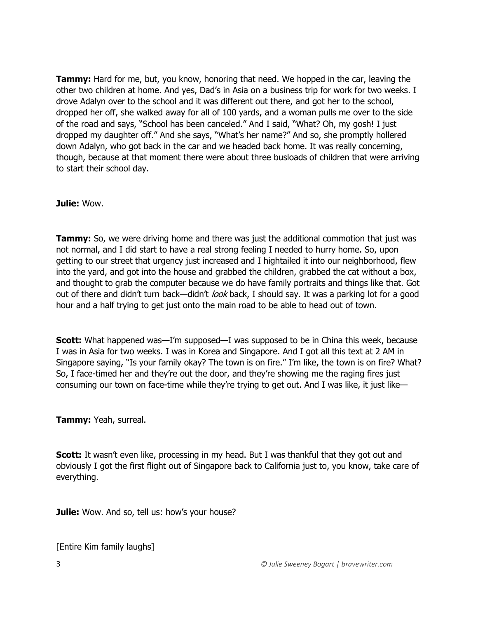**Tammy:** Hard for me, but, you know, honoring that need. We hopped in the car, leaving the other two children at home. And yes, Dad's in Asia on a business trip for work for two weeks. I drove Adalyn over to the school and it was different out there, and got her to the school, dropped her off, she walked away for all of 100 yards, and a woman pulls me over to the side of the road and says, "School has been canceled." And I said, "What? Oh, my gosh! I just dropped my daughter off." And she says, "What's her name?" And so, she promptly hollered down Adalyn, who got back in the car and we headed back home. It was really concerning, though, because at that moment there were about three busloads of children that were arriving to start their school day.

**Julie:** Wow.

**Tammy:** So, we were driving home and there was just the additional commotion that just was not normal, and I did start to have a real strong feeling I needed to hurry home. So, upon getting to our street that urgency just increased and I hightailed it into our neighborhood, flew into the yard, and got into the house and grabbed the children, grabbed the cat without a box, and thought to grab the computer because we do have family portraits and things like that. Got out of there and didn't turn back—didn't look back, I should say. It was a parking lot for a good hour and a half trying to get just onto the main road to be able to head out of town.

**Scott:** What happened was—I'm supposed—I was supposed to be in China this week, because I was in Asia for two weeks. I was in Korea and Singapore. And I got all this text at 2 AM in Singapore saying, "Is your family okay? The town is on fire." I'm like, the town is on fire? What? So, I face-timed her and they're out the door, and they're showing me the raging fires just consuming our town on face-time while they're trying to get out. And I was like, it just like—

**Tammy:** Yeah, surreal.

**Scott:** It wasn't even like, processing in my head. But I was thankful that they got out and obviously I got the first flight out of Singapore back to California just to, you know, take care of everything.

**Julie:** Wow. And so, tell us: how's your house?

[Entire Kim family laughs]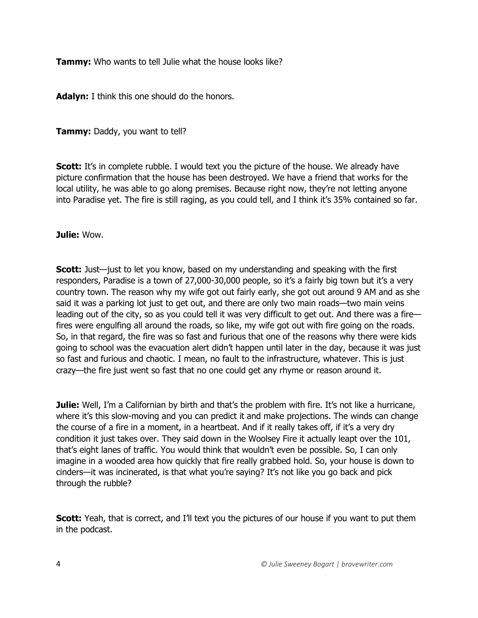**Tammy:** Who wants to tell Julie what the house looks like?

**Adalyn:** I think this one should do the honors.

**Tammy:** Daddy, you want to tell?

**Scott:** It's in complete rubble. I would text you the picture of the house. We already have picture confirmation that the house has been destroyed. We have a friend that works for the local utility, he was able to go along premises. Because right now, they're not letting anyone into Paradise yet. The fire is still raging, as you could tell, and I think it's 35% contained so far.

## **Julie:** Wow.

**Scott:** Just—just to let you know, based on my understanding and speaking with the first responders, Paradise is a town of 27,000-30,000 people, so it's a fairly big town but it's a very country town. The reason why my wife got out fairly early, she got out around 9 AM and as she said it was a parking lot just to get out, and there are only two main roads—two main veins leading out of the city, so as you could tell it was very difficult to get out. And there was a fire fires were engulfing all around the roads, so like, my wife got out with fire going on the roads. So, in that regard, the fire was so fast and furious that one of the reasons why there were kids going to school was the evacuation alert didn't happen until later in the day, because it was just so fast and furious and chaotic. I mean, no fault to the infrastructure, whatever. This is just crazy—the fire just went so fast that no one could get any rhyme or reason around it.

**Julie:** Well, I'm a Californian by birth and that's the problem with fire. It's not like a hurricane, where it's this slow-moving and you can predict it and make projections. The winds can change the course of a fire in a moment, in a heartbeat. And if it really takes off, if it's a very dry condition it just takes over. They said down in the Woolsey Fire it actually leapt over the 101, that's eight lanes of traffic. You would think that wouldn't even be possible. So, I can only imagine in a wooded area how quickly that fire really grabbed hold. So, your house is down to cinders—it was incinerated, is that what you're saying? It's not like you go back and pick through the rubble?

**Scott:** Yeah, that is correct, and I'll text you the pictures of our house if you want to put them in the podcast.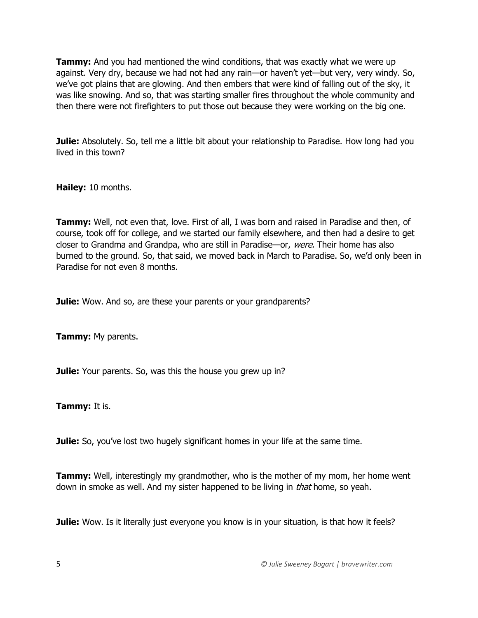**Tammy:** And you had mentioned the wind conditions, that was exactly what we were up against. Very dry, because we had not had any rain—or haven't yet—but very, very windy. So, we've got plains that are glowing. And then embers that were kind of falling out of the sky, it was like snowing. And so, that was starting smaller fires throughout the whole community and then there were not firefighters to put those out because they were working on the big one.

**Julie:** Absolutely. So, tell me a little bit about your relationship to Paradise. How long had you lived in this town?

**Hailey:** 10 months.

**Tammy:** Well, not even that, love. First of all, I was born and raised in Paradise and then, of course, took off for college, and we started our family elsewhere, and then had a desire to get closer to Grandma and Grandpa, who are still in Paradise—or, were. Their home has also burned to the ground. So, that said, we moved back in March to Paradise. So, we'd only been in Paradise for not even 8 months.

**Julie:** Wow. And so, are these your parents or your grandparents?

**Tammy:** My parents.

**Julie:** Your parents. So, was this the house you grew up in?

**Tammy:** It is.

**Julie:** So, you've lost two hugely significant homes in your life at the same time.

**Tammy:** Well, interestingly my grandmother, who is the mother of my mom, her home went down in smoke as well. And my sister happened to be living in *that* home, so yeah.

**Julie:** Wow. Is it literally just everyone you know is in your situation, is that how it feels?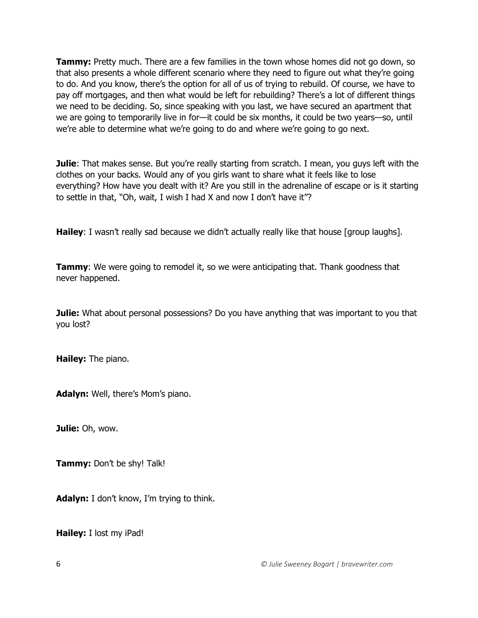**Tammy:** Pretty much. There are a few families in the town whose homes did not go down, so that also presents a whole different scenario where they need to figure out what they're going to do. And you know, there's the option for all of us of trying to rebuild. Of course, we have to pay off mortgages, and then what would be left for rebuilding? There's a lot of different things we need to be deciding. So, since speaking with you last, we have secured an apartment that we are going to temporarily live in for—it could be six months, it could be two years—so, until we're able to determine what we're going to do and where we're going to go next.

**Julie**: That makes sense. But you're really starting from scratch. I mean, you guys left with the clothes on your backs. Would any of you girls want to share what it feels like to lose everything? How have you dealt with it? Are you still in the adrenaline of escape or is it starting to settle in that, "Oh, wait, I wish I had X and now I don't have it"?

**Hailey**: I wasn't really sad because we didn't actually really like that house [group laughs].

**Tammy:** We were going to remodel it, so we were anticipating that. Thank goodness that never happened.

**Julie:** What about personal possessions? Do you have anything that was important to you that you lost?

**Hailey:** The piano.

**Adalyn:** Well, there's Mom's piano.

**Julie:** Oh, wow.

**Tammy:** Don't be shy! Talk!

**Adalyn:** I don't know, I'm trying to think.

**Hailey:** I lost my iPad!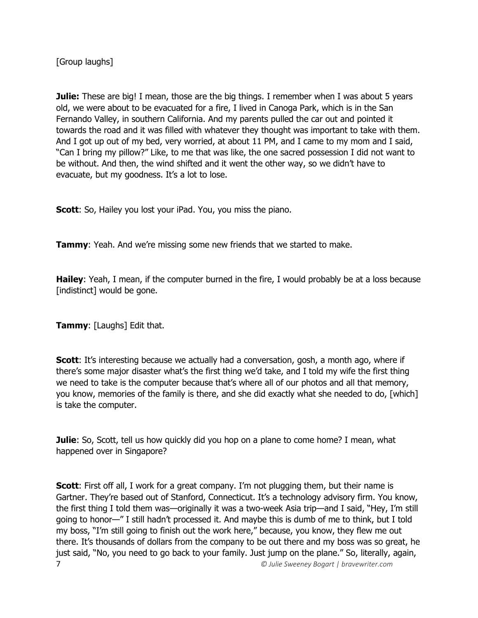[Group laughs]

**Julie:** These are big! I mean, those are the big things. I remember when I was about 5 years old, we were about to be evacuated for a fire, I lived in Canoga Park, which is in the San Fernando Valley, in southern California. And my parents pulled the car out and pointed it towards the road and it was filled with whatever they thought was important to take with them. And I got up out of my bed, very worried, at about 11 PM, and I came to my mom and I said, "Can I bring my pillow?" Like, to me that was like, the one sacred possession I did not want to be without. And then, the wind shifted and it went the other way, so we didn't have to evacuate, but my goodness. It's a lot to lose.

**Scott:** So, Hailey you lost your iPad. You, you miss the piano.

**Tammy**: Yeah. And we're missing some new friends that we started to make.

**Hailey**: Yeah, I mean, if the computer burned in the fire, I would probably be at a loss because [indistinct] would be gone.

**Tammy**: [Laughs] Edit that.

**Scott:** It's interesting because we actually had a conversation, gosh, a month ago, where if there's some major disaster what's the first thing we'd take, and I told my wife the first thing we need to take is the computer because that's where all of our photos and all that memory, you know, memories of the family is there, and she did exactly what she needed to do, [which] is take the computer.

**Julie**: So, Scott, tell us how quickly did you hop on a plane to come home? I mean, what happened over in Singapore?

7 *© Julie Sweeney Bogart | bravewriter.com* **Scott**: First off all, I work for a great company. I'm not plugging them, but their name is Gartner. They're based out of Stanford, Connecticut. It's a technology advisory firm. You know, the first thing I told them was—originally it was a two-week Asia trip—and I said, "Hey, I'm still going to honor—" I still hadn't processed it. And maybe this is dumb of me to think, but I told my boss, "I'm still going to finish out the work here," because, you know, they flew me out there. It's thousands of dollars from the company to be out there and my boss was so great, he just said, "No, you need to go back to your family. Just jump on the plane." So, literally, again,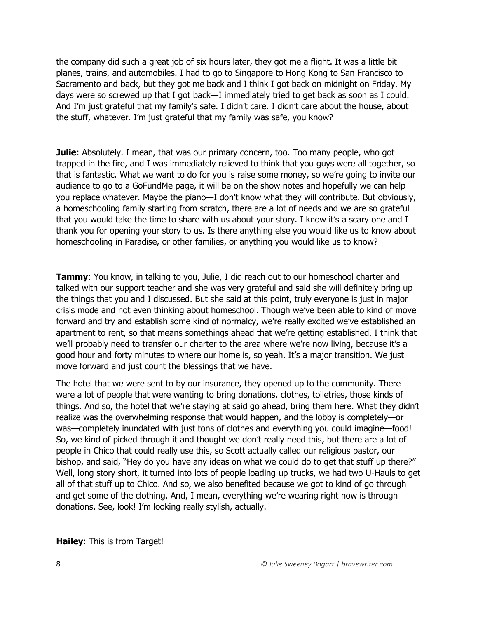the company did such a great job of six hours later, they got me a flight. It was a little bit planes, trains, and automobiles. I had to go to Singapore to Hong Kong to San Francisco to Sacramento and back, but they got me back and I think I got back on midnight on Friday. My days were so screwed up that I got back—I immediately tried to get back as soon as I could. And I'm just grateful that my family's safe. I didn't care. I didn't care about the house, about the stuff, whatever. I'm just grateful that my family was safe, you know?

**Julie**: Absolutely. I mean, that was our primary concern, too. Too many people, who got trapped in the fire, and I was immediately relieved to think that you guys were all together, so that is fantastic. What we want to do for you is raise some money, so we're going to invite our audience to go to a GoFundMe page, it will be on the show notes and hopefully we can help you replace whatever. Maybe the piano—I don't know what they will contribute. But obviously, a homeschooling family starting from scratch, there are a lot of needs and we are so grateful that you would take the time to share with us about your story. I know it's a scary one and I thank you for opening your story to us. Is there anything else you would like us to know about homeschooling in Paradise, or other families, or anything you would like us to know?

**Tammy**: You know, in talking to you, Julie, I did reach out to our homeschool charter and talked with our support teacher and she was very grateful and said she will definitely bring up the things that you and I discussed. But she said at this point, truly everyone is just in major crisis mode and not even thinking about homeschool. Though we've been able to kind of move forward and try and establish some kind of normalcy, we're really excited we've established an apartment to rent, so that means somethings ahead that we're getting established, I think that we'll probably need to transfer our charter to the area where we're now living, because it's a good hour and forty minutes to where our home is, so yeah. It's a major transition. We just move forward and just count the blessings that we have.

The hotel that we were sent to by our insurance, they opened up to the community. There were a lot of people that were wanting to bring donations, clothes, toiletries, those kinds of things. And so, the hotel that we're staying at said go ahead, bring them here. What they didn't realize was the overwhelming response that would happen, and the lobby is completely—or was—completely inundated with just tons of clothes and everything you could imagine—food! So, we kind of picked through it and thought we don't really need this, but there are a lot of people in Chico that could really use this, so Scott actually called our religious pastor, our bishop, and said, "Hey do you have any ideas on what we could do to get that stuff up there?" Well, long story short, it turned into lots of people loading up trucks, we had two U-Hauls to get all of that stuff up to Chico. And so, we also benefited because we got to kind of go through and get some of the clothing. And, I mean, everything we're wearing right now is through donations. See, look! I'm looking really stylish, actually.

## **Hailey**: This is from Target!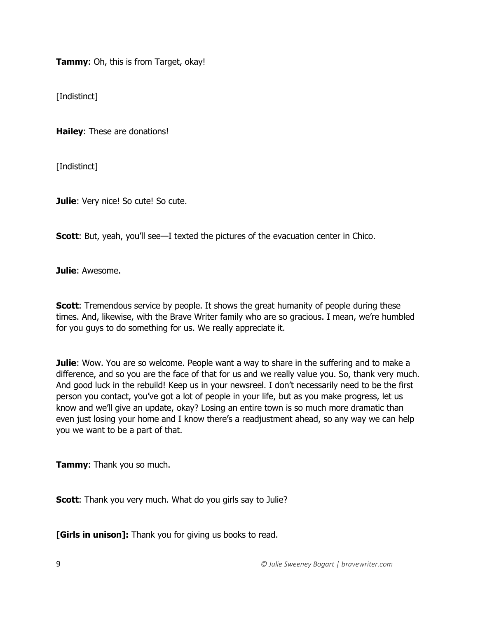**Tammy**: Oh, this is from Target, okay!

[Indistinct]

**Hailey**: These are donations!

[Indistinct]

**Julie**: Very nice! So cute! So cute.

**Scott:** But, yeah, you'll see—I texted the pictures of the evacuation center in Chico.

**Julie**: Awesome.

**Scott:** Tremendous service by people. It shows the great humanity of people during these times. And, likewise, with the Brave Writer family who are so gracious. I mean, we're humbled for you guys to do something for us. We really appreciate it.

**Julie**: Wow. You are so welcome. People want a way to share in the suffering and to make a difference, and so you are the face of that for us and we really value you. So, thank very much. And good luck in the rebuild! Keep us in your newsreel. I don't necessarily need to be the first person you contact, you've got a lot of people in your life, but as you make progress, let us know and we'll give an update, okay? Losing an entire town is so much more dramatic than even just losing your home and I know there's a readjustment ahead, so any way we can help you we want to be a part of that.

**Tammy**: Thank you so much.

**Scott**: Thank you very much. What do you girls say to Julie?

**[Girls in unison]:** Thank you for giving us books to read.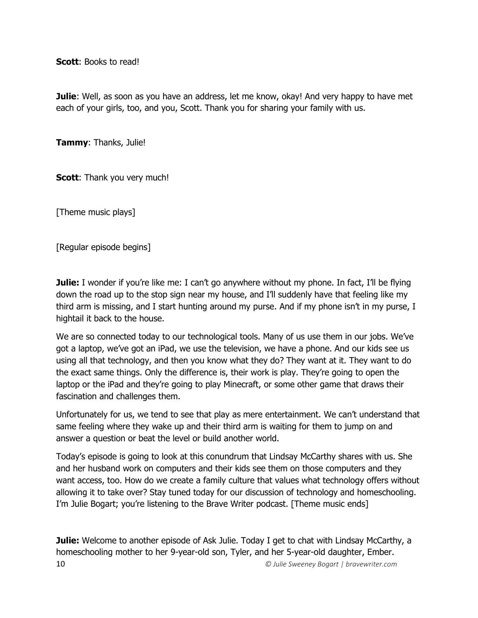**Scott**: Books to read!

**Julie**: Well, as soon as you have an address, let me know, okay! And very happy to have met each of your girls, too, and you, Scott. Thank you for sharing your family with us.

**Tammy**: Thanks, Julie!

**Scott:** Thank you very much!

[Theme music plays]

[Regular episode begins]

**Julie:** I wonder if you're like me: I can't go anywhere without my phone. In fact, I'll be flying down the road up to the stop sign near my house, and I'll suddenly have that feeling like my third arm is missing, and I start hunting around my purse. And if my phone isn't in my purse, I hightail it back to the house.

We are so connected today to our technological tools. Many of us use them in our jobs. We've got a laptop, we've got an iPad, we use the television, we have a phone. And our kids see us using all that technology, and then you know what they do? They want at it. They want to do the exact same things. Only the difference is, their work is play. They're going to open the laptop or the iPad and they're going to play Minecraft, or some other game that draws their fascination and challenges them.

Unfortunately for us, we tend to see that play as mere entertainment. We can't understand that same feeling where they wake up and their third arm is waiting for them to jump on and answer a question or beat the level or build another world.

Today's episode is going to look at this conundrum that Lindsay McCarthy shares with us. She and her husband work on computers and their kids see them on those computers and they want access, too. How do we create a family culture that values what technology offers without allowing it to take over? Stay tuned today for our discussion of technology and homeschooling. I'm Julie Bogart; you're listening to the Brave Writer podcast. [Theme music ends]

10 *© Julie Sweeney Bogart | bravewriter.com* **Julie:** Welcome to another episode of Ask Julie. Today I get to chat with Lindsay McCarthy, a homeschooling mother to her 9-year-old son, Tyler, and her 5-year-old daughter, Ember.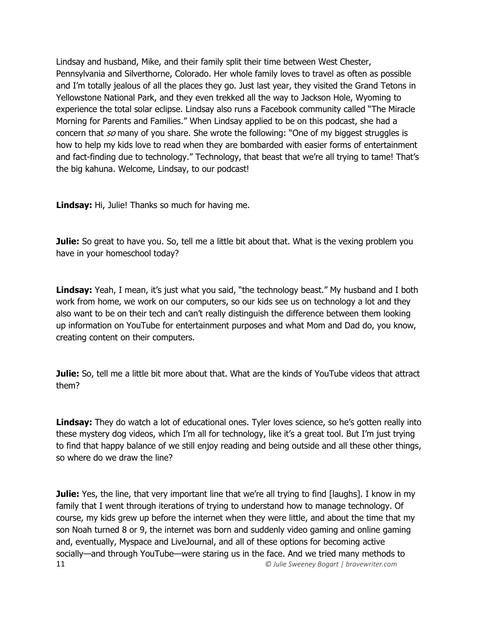Lindsay and husband, Mike, and their family split their time between West Chester, Pennsylvania and Silverthorne, Colorado. Her whole family loves to travel as often as possible and I'm totally jealous of all the places they go. Just last year, they visited the Grand Tetons in Yellowstone National Park, and they even trekked all the way to Jackson Hole, Wyoming to experience the total solar eclipse. Lindsay also runs a Facebook community called "The Miracle Morning for Parents and Families." When Lindsay applied to be on this podcast, she had a concern that so many of you share. She wrote the following: "One of my biggest struggles is how to help my kids love to read when they are bombarded with easier forms of entertainment and fact-finding due to technology." Technology, that beast that we're all trying to tame! That's the big kahuna. Welcome, Lindsay, to our podcast!

**Lindsay:** Hi, Julie! Thanks so much for having me.

**Julie:** So great to have you. So, tell me a little bit about that. What is the vexing problem you have in your homeschool today?

**Lindsay:** Yeah, I mean, it's just what you said, "the technology beast." My husband and I both work from home, we work on our computers, so our kids see us on technology a lot and they also want to be on their tech and can't really distinguish the difference between them looking up information on YouTube for entertainment purposes and what Mom and Dad do, you know, creating content on their computers.

**Julie:** So, tell me a little bit more about that. What are the kinds of YouTube videos that attract them?

**Lindsay:** They do watch a lot of educational ones. Tyler loves science, so he's gotten really into these mystery dog videos, which I'm all for technology, like it's a great tool. But I'm just trying to find that happy balance of we still enjoy reading and being outside and all these other things, so where do we draw the line?

11 *© Julie Sweeney Bogart | bravewriter.com* **Julie:** Yes, the line, that very important line that we're all trying to find [laughs]. I know in my family that I went through iterations of trying to understand how to manage technology. Of course, my kids grew up before the internet when they were little, and about the time that my son Noah turned 8 or 9, the internet was born and suddenly video gaming and online gaming and, eventually, Myspace and LiveJournal, and all of these options for becoming active socially—and through YouTube—were staring us in the face. And we tried many methods to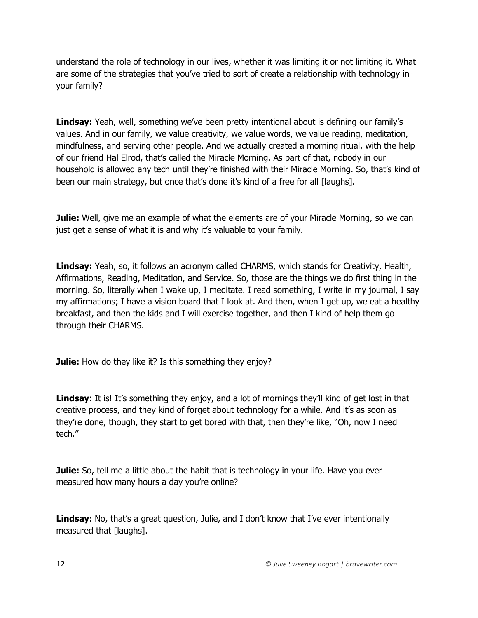understand the role of technology in our lives, whether it was limiting it or not limiting it. What are some of the strategies that you've tried to sort of create a relationship with technology in your family?

**Lindsay:** Yeah, well, something we've been pretty intentional about is defining our family's values. And in our family, we value creativity, we value words, we value reading, meditation, mindfulness, and serving other people. And we actually created a morning ritual, with the help of our friend Hal Elrod, that's called the Miracle Morning. As part of that, nobody in our household is allowed any tech until they're finished with their Miracle Morning. So, that's kind of been our main strategy, but once that's done it's kind of a free for all [laughs].

**Julie:** Well, give me an example of what the elements are of your Miracle Morning, so we can just get a sense of what it is and why it's valuable to your family.

**Lindsay:** Yeah, so, it follows an acronym called CHARMS, which stands for Creativity, Health, Affirmations, Reading, Meditation, and Service. So, those are the things we do first thing in the morning. So, literally when I wake up, I meditate. I read something, I write in my journal, I say my affirmations; I have a vision board that I look at. And then, when I get up, we eat a healthy breakfast, and then the kids and I will exercise together, and then I kind of help them go through their CHARMS.

**Julie:** How do they like it? Is this something they enjoy?

Lindsay: It is! It's something they enjoy, and a lot of mornings they'll kind of get lost in that creative process, and they kind of forget about technology for a while. And it's as soon as they're done, though, they start to get bored with that, then they're like, "Oh, now I need tech."

**Julie:** So, tell me a little about the habit that is technology in your life. Have you ever measured how many hours a day you're online?

**Lindsay:** No, that's a great question, Julie, and I don't know that I've ever intentionally measured that [laughs].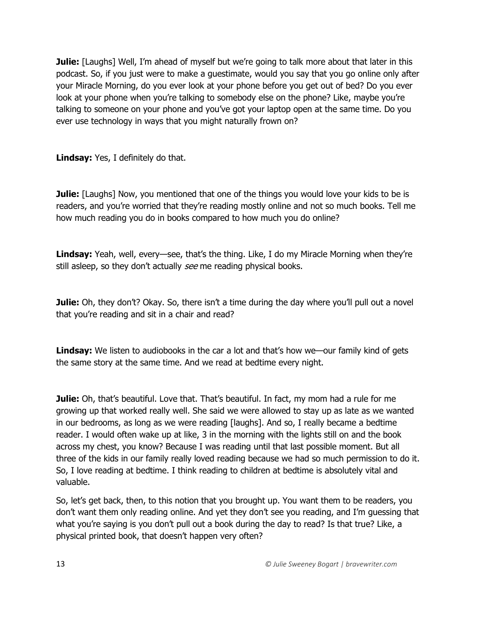**Julie:** [Laughs] Well, I'm ahead of myself but we're going to talk more about that later in this podcast. So, if you just were to make a guestimate, would you say that you go online only after your Miracle Morning, do you ever look at your phone before you get out of bed? Do you ever look at your phone when you're talking to somebody else on the phone? Like, maybe you're talking to someone on your phone and you've got your laptop open at the same time. Do you ever use technology in ways that you might naturally frown on?

**Lindsay:** Yes, I definitely do that.

**Julie:** [Laughs] Now, you mentioned that one of the things you would love your kids to be is readers, and you're worried that they're reading mostly online and not so much books. Tell me how much reading you do in books compared to how much you do online?

Lindsay: Yeah, well, every—see, that's the thing. Like, I do my Miracle Morning when they're still asleep, so they don't actually see me reading physical books.

**Julie:** Oh, they don't? Okay. So, there isn't a time during the day where you'll pull out a novel that you're reading and sit in a chair and read?

**Lindsay:** We listen to audiobooks in the car a lot and that's how we—our family kind of gets the same story at the same time. And we read at bedtime every night.

**Julie:** Oh, that's beautiful. Love that. That's beautiful. In fact, my mom had a rule for me growing up that worked really well. She said we were allowed to stay up as late as we wanted in our bedrooms, as long as we were reading [laughs]. And so, I really became a bedtime reader. I would often wake up at like, 3 in the morning with the lights still on and the book across my chest, you know? Because I was reading until that last possible moment. But all three of the kids in our family really loved reading because we had so much permission to do it. So, I love reading at bedtime. I think reading to children at bedtime is absolutely vital and valuable.

So, let's get back, then, to this notion that you brought up. You want them to be readers, you don't want them only reading online. And yet they don't see you reading, and I'm guessing that what you're saying is you don't pull out a book during the day to read? Is that true? Like, a physical printed book, that doesn't happen very often?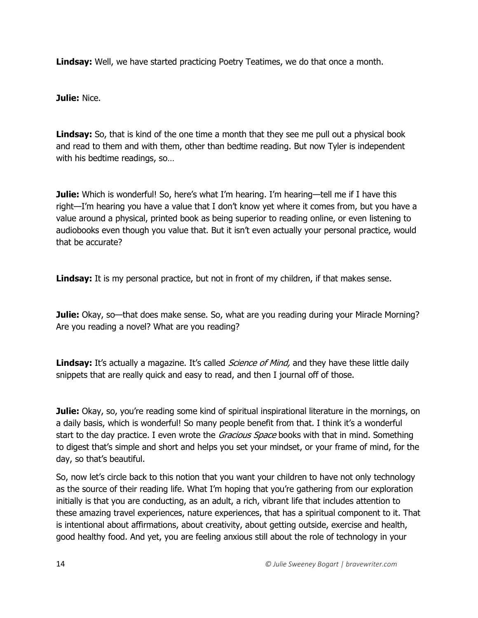**Lindsay:** Well, we have started practicing Poetry Teatimes, we do that once a month.

**Julie:** Nice.

**Lindsay:** So, that is kind of the one time a month that they see me pull out a physical book and read to them and with them, other than bedtime reading. But now Tyler is independent with his bedtime readings, so…

**Julie:** Which is wonderful! So, here's what I'm hearing. I'm hearing—tell me if I have this right—I'm hearing you have a value that I don't know yet where it comes from, but you have a value around a physical, printed book as being superior to reading online, or even listening to audiobooks even though you value that. But it isn't even actually your personal practice, would that be accurate?

Lindsay: It is my personal practice, but not in front of my children, if that makes sense.

**Julie:** Okay, so—that does make sense. So, what are you reading during your Miracle Morning? Are you reading a novel? What are you reading?

**Lindsay:** It's actually a magazine. It's called *Science of Mind*, and they have these little daily snippets that are really quick and easy to read, and then I journal off of those.

**Julie:** Okay, so, you're reading some kind of spiritual inspirational literature in the mornings, on a daily basis, which is wonderful! So many people benefit from that. I think it's a wonderful start to the day practice. I even wrote the *Gracious Space* books with that in mind. Something to digest that's simple and short and helps you set your mindset, or your frame of mind, for the day, so that's beautiful.

So, now let's circle back to this notion that you want your children to have not only technology as the source of their reading life. What I'm hoping that you're gathering from our exploration initially is that you are conducting, as an adult, a rich, vibrant life that includes attention to these amazing travel experiences, nature experiences, that has a spiritual component to it. That is intentional about affirmations, about creativity, about getting outside, exercise and health, good healthy food. And yet, you are feeling anxious still about the role of technology in your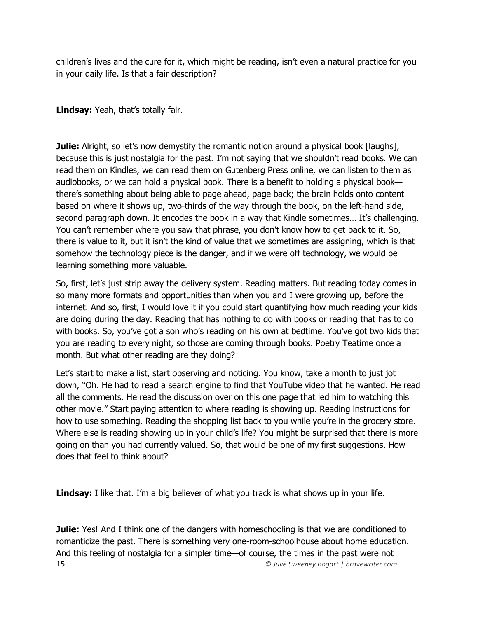children's lives and the cure for it, which might be reading, isn't even a natural practice for you in your daily life. Is that a fair description?

**Lindsay:** Yeah, that's totally fair.

**Julie:** Alright, so let's now demystify the romantic notion around a physical book [laughs], because this is just nostalgia for the past. I'm not saying that we shouldn't read books. We can read them on Kindles, we can read them on Gutenberg Press online, we can listen to them as audiobooks, or we can hold a physical book. There is a benefit to holding a physical book there's something about being able to page ahead, page back; the brain holds onto content based on where it shows up, two-thirds of the way through the book, on the left-hand side, second paragraph down. It encodes the book in a way that Kindle sometimes… It's challenging. You can't remember where you saw that phrase, you don't know how to get back to it. So, there is value to it, but it isn't the kind of value that we sometimes are assigning, which is that somehow the technology piece is the danger, and if we were off technology, we would be learning something more valuable.

So, first, let's just strip away the delivery system. Reading matters. But reading today comes in so many more formats and opportunities than when you and I were growing up, before the internet. And so, first, I would love it if you could start quantifying how much reading your kids are doing during the day. Reading that has nothing to do with books or reading that has to do with books. So, you've got a son who's reading on his own at bedtime. You've got two kids that you are reading to every night, so those are coming through books. Poetry Teatime once a month. But what other reading are they doing?

Let's start to make a list, start observing and noticing. You know, take a month to just jot down, "Oh. He had to read a search engine to find that YouTube video that he wanted. He read all the comments. He read the discussion over on this one page that led him to watching this other movie." Start paying attention to where reading is showing up. Reading instructions for how to use something. Reading the shopping list back to you while you're in the grocery store. Where else is reading showing up in your child's life? You might be surprised that there is more going on than you had currently valued. So, that would be one of my first suggestions. How does that feel to think about?

**Lindsay:** I like that. I'm a big believer of what you track is what shows up in your life.

15 *© Julie Sweeney Bogart | bravewriter.com* **Julie:** Yes! And I think one of the dangers with homeschooling is that we are conditioned to romanticize the past. There is something very one-room-schoolhouse about home education. And this feeling of nostalgia for a simpler time—of course, the times in the past were not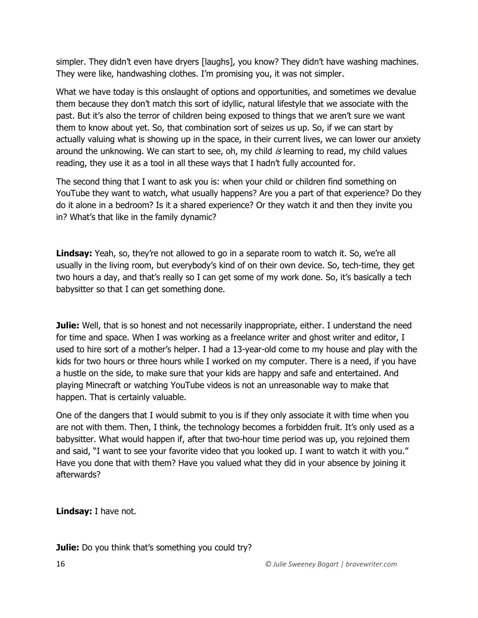simpler. They didn't even have dryers [laughs], you know? They didn't have washing machines. They were like, handwashing clothes. I'm promising you, it was not simpler.

What we have today is this onslaught of options and opportunities, and sometimes we devalue them because they don't match this sort of idyllic, natural lifestyle that we associate with the past. But it's also the terror of children being exposed to things that we aren't sure we want them to know about yet. So, that combination sort of seizes us up. So, if we can start by actually valuing what is showing up in the space, in their current lives, we can lower our anxiety around the unknowing. We can start to see, oh, my child is learning to read, my child values reading, they use it as a tool in all these ways that I hadn't fully accounted for.

The second thing that I want to ask you is: when your child or children find something on YouTube they want to watch, what usually happens? Are you a part of that experience? Do they do it alone in a bedroom? Is it a shared experience? Or they watch it and then they invite you in? What's that like in the family dynamic?

Lindsay: Yeah, so, they're not allowed to go in a separate room to watch it. So, we're all usually in the living room, but everybody's kind of on their own device. So, tech-time, they get two hours a day, and that's really so I can get some of my work done. So, it's basically a tech babysitter so that I can get something done.

**Julie:** Well, that is so honest and not necessarily inappropriate, either. I understand the need for time and space. When I was working as a freelance writer and ghost writer and editor, I used to hire sort of a mother's helper. I had a 13-year-old come to my house and play with the kids for two hours or three hours while I worked on my computer. There is a need, if you have a hustle on the side, to make sure that your kids are happy and safe and entertained. And playing Minecraft or watching YouTube videos is not an unreasonable way to make that happen. That is certainly valuable.

One of the dangers that I would submit to you is if they only associate it with time when you are not with them. Then, I think, the technology becomes a forbidden fruit. It's only used as a babysitter. What would happen if, after that two-hour time period was up, you rejoined them and said, "I want to see your favorite video that you looked up. I want to watch it with you." Have you done that with them? Have you valued what they did in your absence by joining it afterwards?

**Lindsay:** I have not.

**Julie:** Do you think that's something you could try?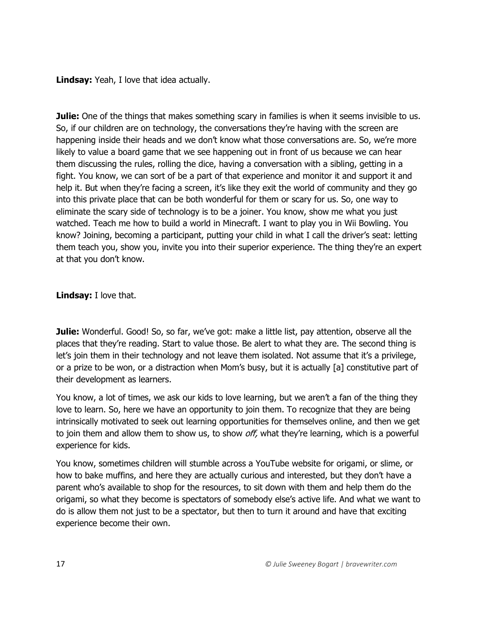**Lindsay:** Yeah, I love that idea actually.

**Julie:** One of the things that makes something scary in families is when it seems invisible to us. So, if our children are on technology, the conversations they're having with the screen are happening inside their heads and we don't know what those conversations are. So, we're more likely to value a board game that we see happening out in front of us because we can hear them discussing the rules, rolling the dice, having a conversation with a sibling, getting in a fight. You know, we can sort of be a part of that experience and monitor it and support it and help it. But when they're facing a screen, it's like they exit the world of community and they go into this private place that can be both wonderful for them or scary for us. So, one way to eliminate the scary side of technology is to be a joiner. You know, show me what you just watched. Teach me how to build a world in Minecraft. I want to play you in Wii Bowling. You know? Joining, becoming a participant, putting your child in what I call the driver's seat: letting them teach you, show you, invite you into their superior experience. The thing they're an expert at that you don't know.

**Lindsay:** I love that.

**Julie:** Wonderful. Good! So, so far, we've got: make a little list, pay attention, observe all the places that they're reading. Start to value those. Be alert to what they are. The second thing is let's join them in their technology and not leave them isolated. Not assume that it's a privilege, or a prize to be won, or a distraction when Mom's busy, but it is actually [a] constitutive part of their development as learners.

You know, a lot of times, we ask our kids to love learning, but we aren't a fan of the thing they love to learn. So, here we have an opportunity to join them. To recognize that they are being intrinsically motivated to seek out learning opportunities for themselves online, and then we get to join them and allow them to show us, to show off, what they're learning, which is a powerful experience for kids.

You know, sometimes children will stumble across a YouTube website for origami, or slime, or how to bake muffins, and here they are actually curious and interested, but they don't have a parent who's available to shop for the resources, to sit down with them and help them do the origami, so what they become is spectators of somebody else's active life. And what we want to do is allow them not just to be a spectator, but then to turn it around and have that exciting experience become their own.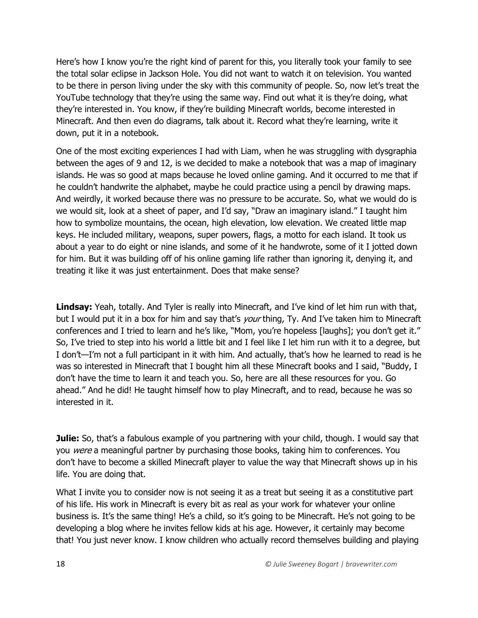Here's how I know you're the right kind of parent for this, you literally took your family to see the total solar eclipse in Jackson Hole. You did not want to watch it on television. You wanted to be there in person living under the sky with this community of people. So, now let's treat the YouTube technology that they're using the same way. Find out what it is they're doing, what they're interested in. You know, if they're building Minecraft worlds, become interested in Minecraft. And then even do diagrams, talk about it. Record what they're learning, write it down, put it in a notebook.

One of the most exciting experiences I had with Liam, when he was struggling with dysgraphia between the ages of 9 and 12, is we decided to make a notebook that was a map of imaginary islands. He was so good at maps because he loved online gaming. And it occurred to me that if he couldn't handwrite the alphabet, maybe he could practice using a pencil by drawing maps. And weirdly, it worked because there was no pressure to be accurate. So, what we would do is we would sit, look at a sheet of paper, and I'd say, "Draw an imaginary island." I taught him how to symbolize mountains, the ocean, high elevation, low elevation. We created little map keys. He included military, weapons, super powers, flags, a motto for each island. It took us about a year to do eight or nine islands, and some of it he handwrote, some of it I jotted down for him. But it was building off of his online gaming life rather than ignoring it, denying it, and treating it like it was just entertainment. Does that make sense?

**Lindsay:** Yeah, totally. And Tyler is really into Minecraft, and I've kind of let him run with that, but I would put it in a box for him and say that's *your* thing, Ty. And I've taken him to Minecraft conferences and I tried to learn and he's like, "Mom, you're hopeless [laughs]; you don't get it." So, I've tried to step into his world a little bit and I feel like I let him run with it to a degree, but I don't—I'm not a full participant in it with him. And actually, that's how he learned to read is he was so interested in Minecraft that I bought him all these Minecraft books and I said, "Buddy, I don't have the time to learn it and teach you. So, here are all these resources for you. Go ahead." And he did! He taught himself how to play Minecraft, and to read, because he was so interested in it.

**Julie:** So, that's a fabulous example of you partnering with your child, though. I would say that you were a meaningful partner by purchasing those books, taking him to conferences. You don't have to become a skilled Minecraft player to value the way that Minecraft shows up in his life. You are doing that.

What I invite you to consider now is not seeing it as a treat but seeing it as a constitutive part of his life. His work in Minecraft is every bit as real as your work for whatever your online business is. It's the same thing! He's a child, so it's going to be Minecraft. He's not going to be developing a blog where he invites fellow kids at his age. However, it certainly may become that! You just never know. I know children who actually record themselves building and playing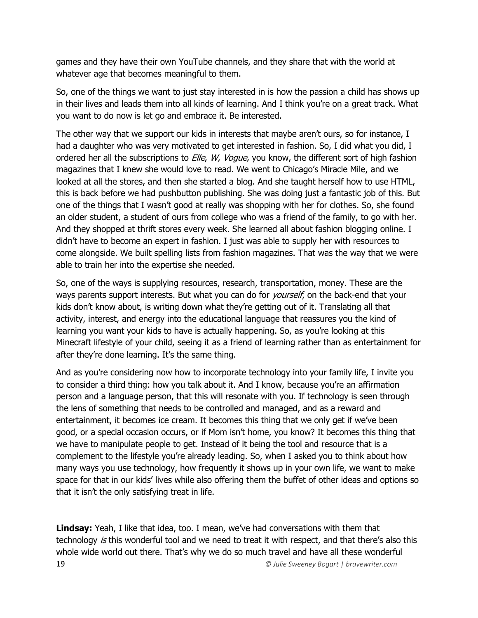games and they have their own YouTube channels, and they share that with the world at whatever age that becomes meaningful to them.

So, one of the things we want to just stay interested in is how the passion a child has shows up in their lives and leads them into all kinds of learning. And I think you're on a great track. What you want to do now is let go and embrace it. Be interested.

The other way that we support our kids in interests that maybe aren't ours, so for instance, I had a daughter who was very motivated to get interested in fashion. So, I did what you did, I ordered her all the subscriptions to *Elle, W, Vogue,* you know, the different sort of high fashion magazines that I knew she would love to read. We went to Chicago's Miracle Mile, and we looked at all the stores, and then she started a blog. And she taught herself how to use HTML, this is back before we had pushbutton publishing. She was doing just a fantastic job of this. But one of the things that I wasn't good at really was shopping with her for clothes. So, she found an older student, a student of ours from college who was a friend of the family, to go with her. And they shopped at thrift stores every week. She learned all about fashion blogging online. I didn't have to become an expert in fashion. I just was able to supply her with resources to come alongside. We built spelling lists from fashion magazines. That was the way that we were able to train her into the expertise she needed.

So, one of the ways is supplying resources, research, transportation, money. These are the ways parents support interests. But what you can do for *yourself*, on the back-end that your kids don't know about, is writing down what they're getting out of it. Translating all that activity, interest, and energy into the educational language that reassures you the kind of learning you want your kids to have is actually happening. So, as you're looking at this Minecraft lifestyle of your child, seeing it as a friend of learning rather than as entertainment for after they're done learning. It's the same thing.

And as you're considering now how to incorporate technology into your family life, I invite you to consider a third thing: how you talk about it. And I know, because you're an affirmation person and a language person, that this will resonate with you. If technology is seen through the lens of something that needs to be controlled and managed, and as a reward and entertainment, it becomes ice cream. It becomes this thing that we only get if we've been good, or a special occasion occurs, or if Mom isn't home, you know? It becomes this thing that we have to manipulate people to get. Instead of it being the tool and resource that is a complement to the lifestyle you're already leading. So, when I asked you to think about how many ways you use technology, how frequently it shows up in your own life, we want to make space for that in our kids' lives while also offering them the buffet of other ideas and options so that it isn't the only satisfying treat in life.

19 *© Julie Sweeney Bogart | bravewriter.com* **Lindsay:** Yeah, I like that idea, too. I mean, we've had conversations with them that technology is this wonderful tool and we need to treat it with respect, and that there's also this whole wide world out there. That's why we do so much travel and have all these wonderful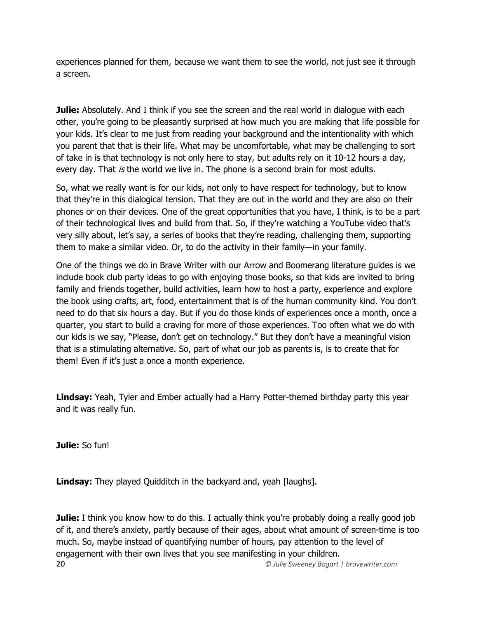experiences planned for them, because we want them to see the world, not just see it through a screen.

**Julie:** Absolutely. And I think if you see the screen and the real world in dialogue with each other, you're going to be pleasantly surprised at how much you are making that life possible for your kids. It's clear to me just from reading your background and the intentionality with which you parent that that is their life. What may be uncomfortable, what may be challenging to sort of take in is that technology is not only here to stay, but adults rely on it 10-12 hours a day, every day. That is the world we live in. The phone is a second brain for most adults.

So, what we really want is for our kids, not only to have respect for technology, but to know that they're in this dialogical tension. That they are out in the world and they are also on their phones or on their devices. One of the great opportunities that you have, I think, is to be a part of their technological lives and build from that. So, if they're watching a YouTube video that's very silly about, let's say, a series of books that they're reading, challenging them, supporting them to make a similar video. Or, to do the activity in their family—in your family.

One of the things we do in Brave Writer with our Arrow and Boomerang literature guides is we include book club party ideas to go with enjoying those books, so that kids are invited to bring family and friends together, build activities, learn how to host a party, experience and explore the book using crafts, art, food, entertainment that is of the human community kind. You don't need to do that six hours a day. But if you do those kinds of experiences once a month, once a quarter, you start to build a craving for more of those experiences. Too often what we do with our kids is we say, "Please, don't get on technology." But they don't have a meaningful vision that is a stimulating alternative. So, part of what our job as parents is, is to create that for them! Even if it's just a once a month experience.

**Lindsay:** Yeah, Tyler and Ember actually had a Harry Potter-themed birthday party this year and it was really fun.

**Julie:** So fun!

**Lindsay:** They played Quidditch in the backyard and, yeah [laughs].

20 *© Julie Sweeney Bogart | bravewriter.com* **Julie:** I think you know how to do this. I actually think you're probably doing a really good job of it, and there's anxiety, partly because of their ages, about what amount of screen-time is too much. So, maybe instead of quantifying number of hours, pay attention to the level of engagement with their own lives that you see manifesting in your children.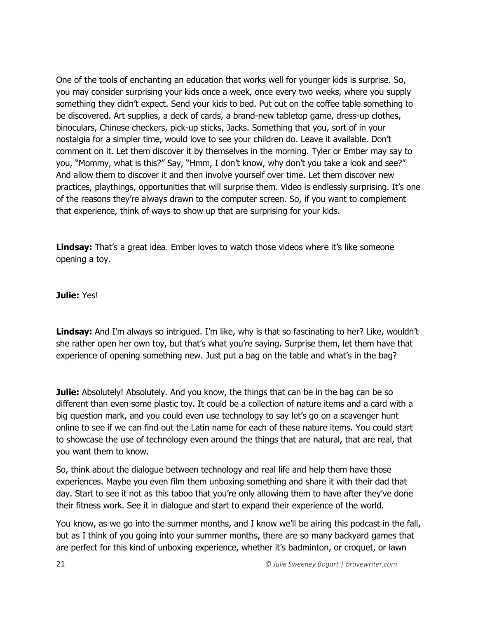One of the tools of enchanting an education that works well for younger kids is surprise. So, you may consider surprising your kids once a week, once every two weeks, where you supply something they didn't expect. Send your kids to bed. Put out on the coffee table something to be discovered. Art supplies, a deck of cards, a brand-new tabletop game, dress-up clothes, binoculars, Chinese checkers, pick-up sticks, Jacks. Something that you, sort of in your nostalgia for a simpler time, would love to see your children do. Leave it available. Don't comment on it. Let them discover it by themselves in the morning. Tyler or Ember may say to you, "Mommy, what is this?" Say, "Hmm, I don't know, why don't you take a look and see?" And allow them to discover it and then involve yourself over time. Let them discover new practices, playthings, opportunities that will surprise them. Video is endlessly surprising. It's one of the reasons they're always drawn to the computer screen. So, if you want to complement that experience, think of ways to show up that are surprising for your kids.

**Lindsay:** That's a great idea. Ember loves to watch those videos where it's like someone opening a toy.

**Julie:** Yes!

**Lindsay:** And I'm always so intrigued. I'm like, why is that so fascinating to her? Like, wouldn't she rather open her own toy, but that's what you're saying. Surprise them, let them have that experience of opening something new. Just put a bag on the table and what's in the bag?

**Julie:** Absolutely! Absolutely. And you know, the things that can be in the bag can be so different than even some plastic toy. It could be a collection of nature items and a card with a big question mark, and you could even use technology to say let's go on a scavenger hunt online to see if we can find out the Latin name for each of these nature items. You could start to showcase the use of technology even around the things that are natural, that are real, that you want them to know.

So, think about the dialogue between technology and real life and help them have those experiences. Maybe you even film them unboxing something and share it with their dad that day. Start to see it not as this taboo that you're only allowing them to have after they've done their fitness work. See it in dialogue and start to expand their experience of the world.

You know, as we go into the summer months, and I know we'll be airing this podcast in the fall, but as I think of you going into your summer months, there are so many backyard games that are perfect for this kind of unboxing experience, whether it's badminton, or croquet, or lawn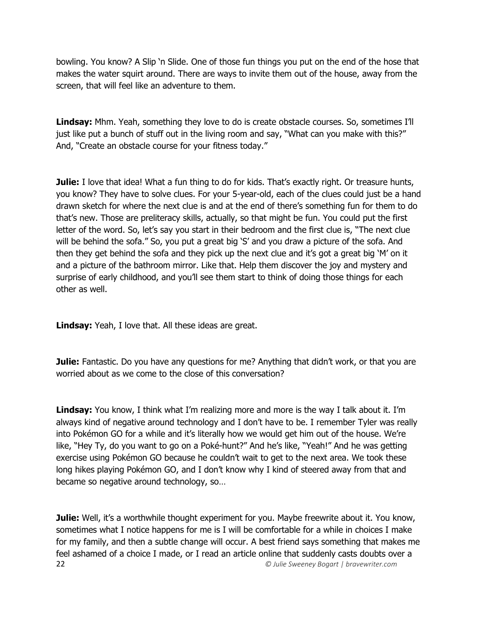bowling. You know? A Slip 'n Slide. One of those fun things you put on the end of the hose that makes the water squirt around. There are ways to invite them out of the house, away from the screen, that will feel like an adventure to them.

**Lindsay:** Mhm. Yeah, something they love to do is create obstacle courses. So, sometimes I'll just like put a bunch of stuff out in the living room and say, "What can you make with this?" And, "Create an obstacle course for your fitness today."

**Julie:** I love that idea! What a fun thing to do for kids. That's exactly right. Or treasure hunts, you know? They have to solve clues. For your 5-year-old, each of the clues could just be a hand drawn sketch for where the next clue is and at the end of there's something fun for them to do that's new. Those are preliteracy skills, actually, so that might be fun. You could put the first letter of the word. So, let's say you start in their bedroom and the first clue is, "The next clue will be behind the sofa." So, you put a great big 'S' and you draw a picture of the sofa. And then they get behind the sofa and they pick up the next clue and it's got a great big 'M' on it and a picture of the bathroom mirror. Like that. Help them discover the joy and mystery and surprise of early childhood, and you'll see them start to think of doing those things for each other as well.

**Lindsay:** Yeah, I love that. All these ideas are great.

**Julie:** Fantastic. Do you have any questions for me? Anything that didn't work, or that you are worried about as we come to the close of this conversation?

**Lindsay:** You know, I think what I'm realizing more and more is the way I talk about it. I'm always kind of negative around technology and I don't have to be. I remember Tyler was really into Pokémon GO for a while and it's literally how we would get him out of the house. We're like, "Hey Ty, do you want to go on a Poké-hunt?" And he's like, "Yeah!" And he was getting exercise using Pokémon GO because he couldn't wait to get to the next area. We took these long hikes playing Pokémon GO, and I don't know why I kind of steered away from that and became so negative around technology, so…

22 *© Julie Sweeney Bogart | bravewriter.com* **Julie:** Well, it's a worthwhile thought experiment for you. Maybe freewrite about it. You know, sometimes what I notice happens for me is I will be comfortable for a while in choices I make for my family, and then a subtle change will occur. A best friend says something that makes me feel ashamed of a choice I made, or I read an article online that suddenly casts doubts over a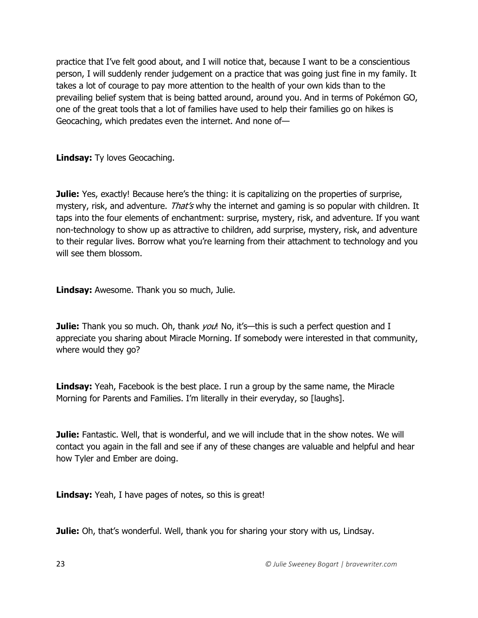practice that I've felt good about, and I will notice that, because I want to be a conscientious person, I will suddenly render judgement on a practice that was going just fine in my family. It takes a lot of courage to pay more attention to the health of your own kids than to the prevailing belief system that is being batted around, around you. And in terms of Pokémon GO, one of the great tools that a lot of families have used to help their families go on hikes is Geocaching, which predates even the internet. And none of—

**Lindsay:** Ty loves Geocaching.

**Julie:** Yes, exactly! Because here's the thing: it is capitalizing on the properties of surprise, mystery, risk, and adventure. That's why the internet and gaming is so popular with children. It taps into the four elements of enchantment: surprise, mystery, risk, and adventure. If you want non-technology to show up as attractive to children, add surprise, mystery, risk, and adventure to their regular lives. Borrow what you're learning from their attachment to technology and you will see them blossom.

**Lindsay:** Awesome. Thank you so much, Julie.

**Julie:** Thank you so much. Oh, thank *you*! No, it's—this is such a perfect question and I appreciate you sharing about Miracle Morning. If somebody were interested in that community, where would they go?

**Lindsay:** Yeah, Facebook is the best place. I run a group by the same name, the Miracle Morning for Parents and Families. I'm literally in their everyday, so [laughs].

**Julie:** Fantastic. Well, that is wonderful, and we will include that in the show notes. We will contact you again in the fall and see if any of these changes are valuable and helpful and hear how Tyler and Ember are doing.

**Lindsay:** Yeah, I have pages of notes, so this is great!

**Julie:** Oh, that's wonderful. Well, thank you for sharing your story with us, Lindsay.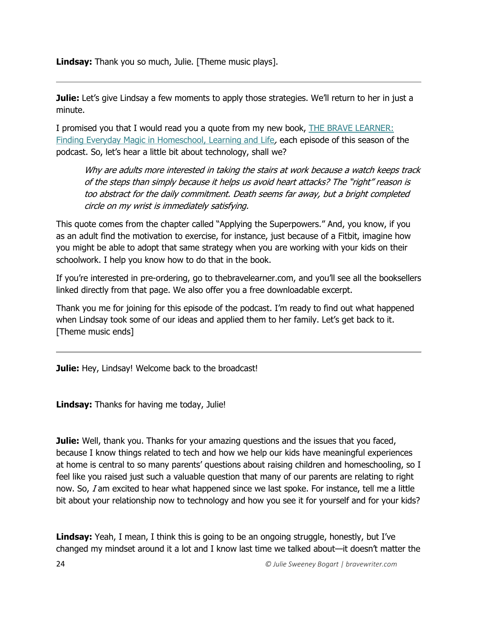**Lindsay:** Thank you so much, Julie. [Theme music plays].

**Julie:** Let's give Lindsay a few moments to apply those strategies. We'll return to her in just a minute.

I promised you that I would read you a quote from my new book, THE BRAVE LEARNER: [Finding Everyday Magic in Homeschool, Learning and Life](https://thebravelearner.com/), each episode of this season of the podcast. So, let's hear a little bit about technology, shall we?

Why are adults more interested in taking the stairs at work because a watch keeps track of the steps than simply because it helps us avoid heart attacks? The "right" reason is too abstract for the daily commitment. Death seems far away, but a bright completed circle on my wrist is immediately satisfying.

This quote comes from the chapter called "Applying the Superpowers." And, you know, if you as an adult find the motivation to exercise, for instance, just because of a Fitbit, imagine how you might be able to adopt that same strategy when you are working with your kids on their schoolwork. I help you know how to do that in the book.

If you're interested in pre-ordering, go to thebravelearner.com, and you'll see all the booksellers linked directly from that page. We also offer you a free downloadable excerpt.

Thank you me for joining for this episode of the podcast. I'm ready to find out what happened when Lindsay took some of our ideas and applied them to her family. Let's get back to it. [Theme music ends]

**Julie:** Hey, Lindsay! Welcome back to the broadcast!

**Lindsay:** Thanks for having me today, Julie!

**Julie:** Well, thank you. Thanks for your amazing questions and the issues that you faced, because I know things related to tech and how we help our kids have meaningful experiences at home is central to so many parents' questions about raising children and homeschooling, so I feel like you raised just such a valuable question that many of our parents are relating to right now. So, I am excited to hear what happened since we last spoke. For instance, tell me a little bit about your relationship now to technology and how you see it for yourself and for your kids?

**Lindsay:** Yeah, I mean, I think this is going to be an ongoing struggle, honestly, but I've changed my mindset around it a lot and I know last time we talked about—it doesn't matter the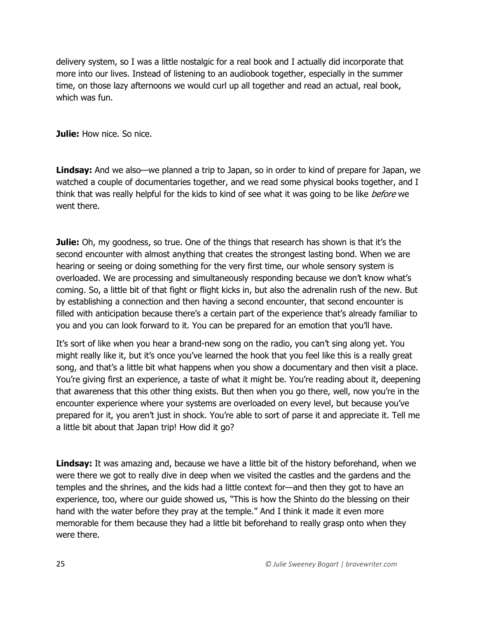delivery system, so I was a little nostalgic for a real book and I actually did incorporate that more into our lives. Instead of listening to an audiobook together, especially in the summer time, on those lazy afternoons we would curl up all together and read an actual, real book, which was fun.

**Julie:** How nice. So nice.

**Lindsay:** And we also—we planned a trip to Japan, so in order to kind of prepare for Japan, we watched a couple of documentaries together, and we read some physical books together, and I think that was really helpful for the kids to kind of see what it was going to be like *before* we went there.

**Julie:** Oh, my goodness, so true. One of the things that research has shown is that it's the second encounter with almost anything that creates the strongest lasting bond. When we are hearing or seeing or doing something for the very first time, our whole sensory system is overloaded. We are processing and simultaneously responding because we don't know what's coming. So, a little bit of that fight or flight kicks in, but also the adrenalin rush of the new. But by establishing a connection and then having a second encounter, that second encounter is filled with anticipation because there's a certain part of the experience that's already familiar to you and you can look forward to it. You can be prepared for an emotion that you'll have.

It's sort of like when you hear a brand-new song on the radio, you can't sing along yet. You might really like it, but it's once you've learned the hook that you feel like this is a really great song, and that's a little bit what happens when you show a documentary and then visit a place. You're giving first an experience, a taste of what it might be. You're reading about it, deepening that awareness that this other thing exists. But then when you go there, well, now you're in the encounter experience where your systems are overloaded on every level, but because you've prepared for it, you aren't just in shock. You're able to sort of parse it and appreciate it. Tell me a little bit about that Japan trip! How did it go?

Lindsay: It was amazing and, because we have a little bit of the history beforehand, when we were there we got to really dive in deep when we visited the castles and the gardens and the temples and the shrines, and the kids had a little context for—and then they got to have an experience, too, where our guide showed us, "This is how the Shinto do the blessing on their hand with the water before they pray at the temple." And I think it made it even more memorable for them because they had a little bit beforehand to really grasp onto when they were there.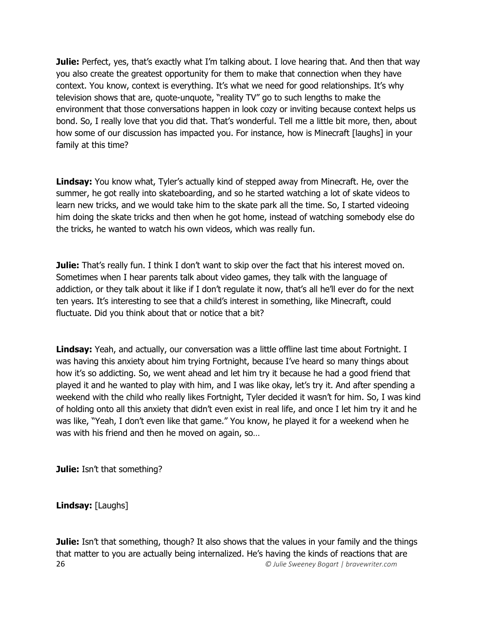**Julie:** Perfect, yes, that's exactly what I'm talking about. I love hearing that. And then that way you also create the greatest opportunity for them to make that connection when they have context. You know, context is everything. It's what we need for good relationships. It's why television shows that are, quote-unquote, "reality TV" go to such lengths to make the environment that those conversations happen in look cozy or inviting because context helps us bond. So, I really love that you did that. That's wonderful. Tell me a little bit more, then, about how some of our discussion has impacted you. For instance, how is Minecraft [laughs] in your family at this time?

**Lindsay:** You know what, Tyler's actually kind of stepped away from Minecraft. He, over the summer, he got really into skateboarding, and so he started watching a lot of skate videos to learn new tricks, and we would take him to the skate park all the time. So, I started videoing him doing the skate tricks and then when he got home, instead of watching somebody else do the tricks, he wanted to watch his own videos, which was really fun.

**Julie:** That's really fun. I think I don't want to skip over the fact that his interest moved on. Sometimes when I hear parents talk about video games, they talk with the language of addiction, or they talk about it like if I don't regulate it now, that's all he'll ever do for the next ten years. It's interesting to see that a child's interest in something, like Minecraft, could fluctuate. Did you think about that or notice that a bit?

**Lindsay:** Yeah, and actually, our conversation was a little offline last time about Fortnight. I was having this anxiety about him trying Fortnight, because I've heard so many things about how it's so addicting. So, we went ahead and let him try it because he had a good friend that played it and he wanted to play with him, and I was like okay, let's try it. And after spending a weekend with the child who really likes Fortnight, Tyler decided it wasn't for him. So, I was kind of holding onto all this anxiety that didn't even exist in real life, and once I let him try it and he was like, "Yeah, I don't even like that game." You know, he played it for a weekend when he was with his friend and then he moved on again, so…

**Julie:** Isn't that something?

**Lindsay:** [Laughs]

26 *© Julie Sweeney Bogart | bravewriter.com* **Julie:** Isn't that something, though? It also shows that the values in your family and the things that matter to you are actually being internalized. He's having the kinds of reactions that are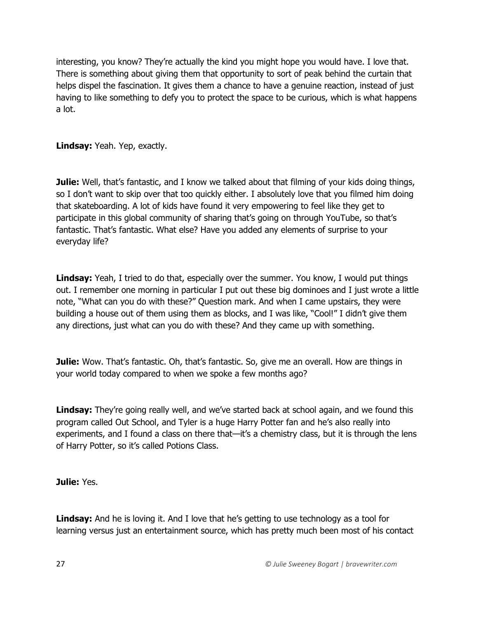interesting, you know? They're actually the kind you might hope you would have. I love that. There is something about giving them that opportunity to sort of peak behind the curtain that helps dispel the fascination. It gives them a chance to have a genuine reaction, instead of just having to like something to defy you to protect the space to be curious, which is what happens a lot.

**Lindsay:** Yeah. Yep, exactly.

**Julie:** Well, that's fantastic, and I know we talked about that filming of your kids doing things, so I don't want to skip over that too quickly either. I absolutely love that you filmed him doing that skateboarding. A lot of kids have found it very empowering to feel like they get to participate in this global community of sharing that's going on through YouTube, so that's fantastic. That's fantastic. What else? Have you added any elements of surprise to your everyday life?

**Lindsay:** Yeah, I tried to do that, especially over the summer. You know, I would put things out. I remember one morning in particular I put out these big dominoes and I just wrote a little note, "What can you do with these?" Question mark. And when I came upstairs, they were building a house out of them using them as blocks, and I was like, "Cool!" I didn't give them any directions, just what can you do with these? And they came up with something.

**Julie:** Wow. That's fantastic. Oh, that's fantastic. So, give me an overall. How are things in your world today compared to when we spoke a few months ago?

**Lindsay:** They're going really well, and we've started back at school again, and we found this program called Out School, and Tyler is a huge Harry Potter fan and he's also really into experiments, and I found a class on there that—it's a chemistry class, but it is through the lens of Harry Potter, so it's called Potions Class.

**Julie:** Yes.

**Lindsay:** And he is loving it. And I love that he's getting to use technology as a tool for learning versus just an entertainment source, which has pretty much been most of his contact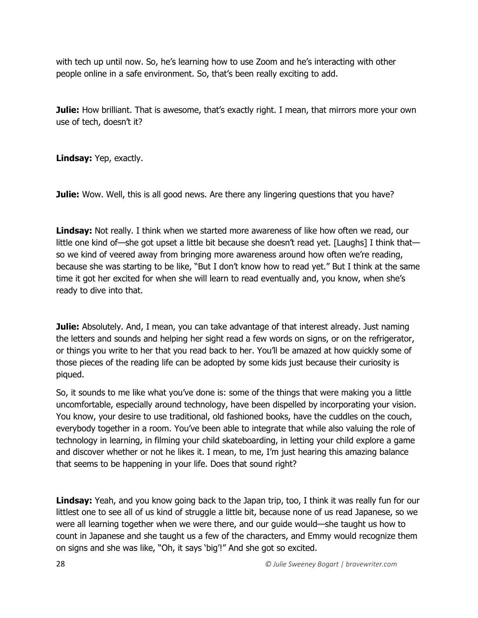with tech up until now. So, he's learning how to use Zoom and he's interacting with other people online in a safe environment. So, that's been really exciting to add.

**Julie:** How brilliant. That is awesome, that's exactly right. I mean, that mirrors more your own use of tech, doesn't it?

**Lindsay:** Yep, exactly.

**Julie:** Wow. Well, this is all good news. Are there any lingering questions that you have?

Lindsay: Not really. I think when we started more awareness of like how often we read, our little one kind of—she got upset a little bit because she doesn't read yet. [Laughs] I think that so we kind of veered away from bringing more awareness around how often we're reading, because she was starting to be like, "But I don't know how to read yet." But I think at the same time it got her excited for when she will learn to read eventually and, you know, when she's ready to dive into that.

**Julie:** Absolutely. And, I mean, you can take advantage of that interest already. Just naming the letters and sounds and helping her sight read a few words on signs, or on the refrigerator, or things you write to her that you read back to her. You'll be amazed at how quickly some of those pieces of the reading life can be adopted by some kids just because their curiosity is piqued.

So, it sounds to me like what you've done is: some of the things that were making you a little uncomfortable, especially around technology, have been dispelled by incorporating your vision. You know, your desire to use traditional, old fashioned books, have the cuddles on the couch, everybody together in a room. You've been able to integrate that while also valuing the role of technology in learning, in filming your child skateboarding, in letting your child explore a game and discover whether or not he likes it. I mean, to me, I'm just hearing this amazing balance that seems to be happening in your life. Does that sound right?

**Lindsay:** Yeah, and you know going back to the Japan trip, too, I think it was really fun for our littlest one to see all of us kind of struggle a little bit, because none of us read Japanese, so we were all learning together when we were there, and our guide would—she taught us how to count in Japanese and she taught us a few of the characters, and Emmy would recognize them on signs and she was like, "Oh, it says 'big'!" And she got so excited.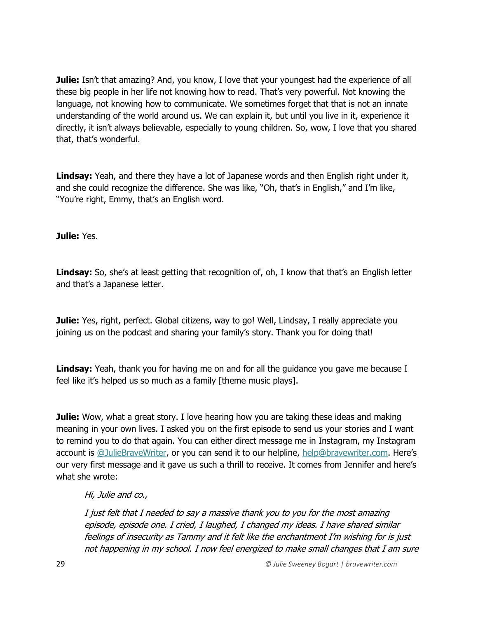**Julie:** Isn't that amazing? And, you know, I love that your youngest had the experience of all these big people in her life not knowing how to read. That's very powerful. Not knowing the language, not knowing how to communicate. We sometimes forget that that is not an innate understanding of the world around us. We can explain it, but until you live in it, experience it directly, it isn't always believable, especially to young children. So, wow, I love that you shared that, that's wonderful.

Lindsay: Yeah, and there they have a lot of Japanese words and then English right under it, and she could recognize the difference. She was like, "Oh, that's in English," and I'm like, "You're right, Emmy, that's an English word.

**Julie:** Yes.

Lindsay: So, she's at least getting that recognition of, oh, I know that that's an English letter and that's a Japanese letter.

**Julie:** Yes, right, perfect. Global citizens, way to go! Well, Lindsay, I really appreciate you joining us on the podcast and sharing your family's story. Thank you for doing that!

Lindsay: Yeah, thank you for having me on and for all the guidance you gave me because I feel like it's helped us so much as a family [theme music plays].

**Julie:** Wow, what a great story. I love hearing how you are taking these ideas and making meaning in your own lives. I asked you on the first episode to send us your stories and I want to remind you to do that again. You can either direct message me in Instagram, my Instagram account is [@JulieBraveWriter,](https://www.instagram.com/juliebravewriter/) or you can send it to our helpline, [help@bravewriter.com](mailto:help@bravewriter.com). Here's our very first message and it gave us such a thrill to receive. It comes from Jennifer and here's what she wrote:

## Hi, Julie and co.,

I just felt that I needed to say a massive thank you to you for the most amazing episode, episode one. I cried, I laughed, I changed my ideas. I have shared similar feelings of insecurity as Tammy and it felt like the enchantment I'm wishing for is just not happening in my school. I now feel energized to make small changes that I am sure